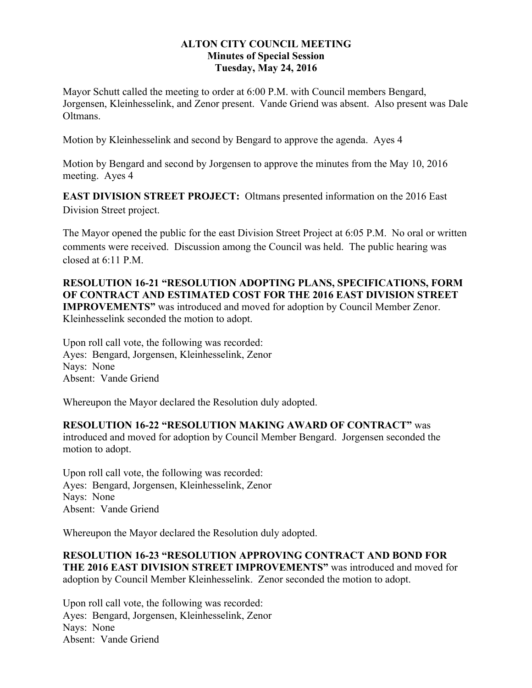## **ALTON CITY COUNCIL MEETING Minutes of Special Session Tuesday, May 24, 2016**

Mayor Schutt called the meeting to order at 6:00 P.M. with Council members Bengard, Jorgensen, Kleinhesselink, and Zenor present. Vande Griend was absent. Also present was Dale Oltmans.

Motion by Kleinhesselink and second by Bengard to approve the agenda. Ayes 4

Motion by Bengard and second by Jorgensen to approve the minutes from the May 10, 2016 meeting. Ayes 4

**EAST DIVISION STREET PROJECT:** Oltmans presented information on the 2016 East Division Street project.

The Mayor opened the public for the east Division Street Project at 6:05 P.M. No oral or written comments were received. Discussion among the Council was held. The public hearing was closed at  $6:11 \text{ P.M.}$ 

**RESOLUTION 16-21 "RESOLUTION ADOPTING PLANS, SPECIFICATIONS, FORM OF CONTRACT AND ESTIMATED COST FOR THE 2016 EAST DIVISION STREET IMPROVEMENTS"** was introduced and moved for adoption by Council Member Zenor. Kleinhesselink seconded the motion to adopt.

Upon roll call vote, the following was recorded: Ayes: Bengard, Jorgensen, Kleinhesselink, Zenor Nays: None Absent: Vande Griend

Whereupon the Mayor declared the Resolution duly adopted.

## **RESOLUTION 16-22 "RESOLUTION MAKING AWARD OF CONTRACT"** was introduced and moved for adoption by Council Member Bengard. Jorgensen seconded the motion to adopt.

Upon roll call vote, the following was recorded: Ayes: Bengard, Jorgensen, Kleinhesselink, Zenor Nays: None Absent: Vande Griend

Whereupon the Mayor declared the Resolution duly adopted.

**RESOLUTION 16-23 "RESOLUTION APPROVING CONTRACT AND BOND FOR THE 2016 EAST DIVISION STREET IMPROVEMENTS"** was introduced and moved for adoption by Council Member Kleinhesselink. Zenor seconded the motion to adopt.

Upon roll call vote, the following was recorded: Ayes: Bengard, Jorgensen, Kleinhesselink, Zenor Nays: None Absent: Vande Griend